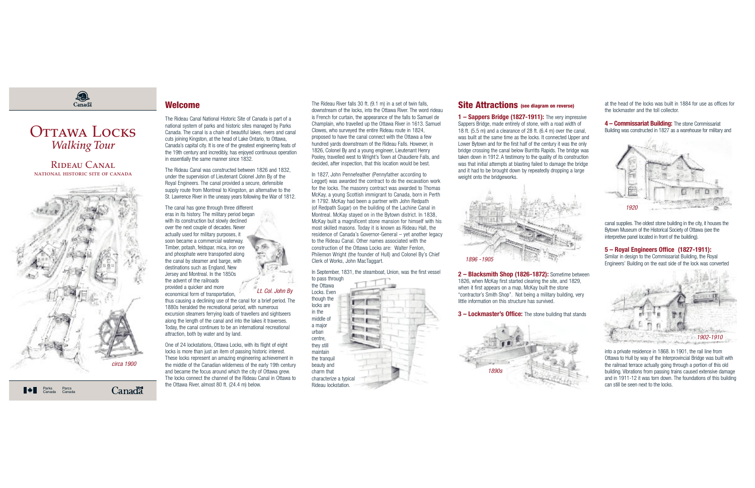The Rideau River falls 30 ft. (9.1 m) in <sup>a</sup> set of twin falls, downstream of the locks, into the Ottawa River. The word rideau is French for curtain, the appearance of the falls to Samuel de Champlain, who travelled up the Ottawa River in 1613. Samuel Clowes, who surveyed the entire Rideau route in 1824, proposed to have the canal connect with the Ottawa <sup>a</sup> few hundred yards downstream of the Rideau Falls. However, in 1826, Colonel By and <sup>a</sup> young engineer, Lieutenant Henry Pooley, travelled west to Wright's Town at Chaudiere Falls, and decided, after inspection, that this location would be best.

In 1827, John Pennefeather (Pennyfather according to Legget) was awarded the contract to do the excavation work for the locks. The masonry contract was awarded to Thomas McKay, <sup>a</sup> young Scottish immigrant to Canada, born in Perth in 1792. McKay had been <sup>a</sup> partner with John Redpath (of Redpath Sugar) on the building of the Lachine Canal in Montreal. McKay stayed on in the Bytown district. In 1838, McKay built <sup>a</sup> magnificent stone mansion for himself with his most skilled masons. Today it is known as Rideau Hall, the residence of Canada's Governor-General – yet another legacy to the Rideau Canal. Other names associated with theconstruction of the Ottawa Locks are: Walter Fenlon, Philemon Wright (the founder of Hull) and Colonel By's Chief Clerk of Works, John MacTaggart.

In September, 1831, the steamboat, Union, was the first vessel to pass through

the Ottawa

Locks. Even though the **For F** locks are **to the fill** in themiddle of **Birthda gas** <sup>a</sup> major **Din po** urbancentre, they still maintainthe tranquil beauty and charm that characterize <sup>a</sup> typical Rideau lockstation.

### **Site Attractions (see diagram on reverse)**

# Canadä

# OTTAWA LOCKS *Walking Tour*

**1 – Sappers Bridge (1827-1911):** The very impressive Sappers Bridge, made entirely of stone, with <sup>a</sup> road width of 18 ft. (5.5 m) and <sup>a</sup> clearance of 28 ft. (6.4 m) over the canal, was built at the same time as the locks. It connected Upper and

Lower Bytown and for the first half of the century it was the only bridge crossing the canal below Burritts Rapids. The bridge was taken down in 1912. A testimony to the quality of its construction was that initial attempts at blasting failed to damage the bridge and it had to be brought down by repeatedly dropping <sup>a</sup> large weight onto the bridgeworks.

**2 – Blacksmith Shop (1826-1872):** Sometime between 1826, when McKay first started clearing the site, and 1829, when it first appears on <sup>a</sup> map, McKay built the stone "contractor's Smith Shop". Not being <sup>a</sup> military building, very little information on this structure has survived.

#### **3 – Lockmaster's Office:** The stone building that stands

at the head of the locks was built in 1884 for use as offices forthe lockmaster and the toll collector.

**4 – Commissariat Building:** The stone Commissariat Building was constructed in 1827 as <sup>a</sup> warehouse for military and

canal supplies. The oldest stone building in the city, it houses the Bytown Museum of the Historical Society of Ottawa (see the interpretive panel located in front of the building).

#### **5 – Royal Engineers Office (1827-1911):**

Similar in design to the Commissariat Building, the Royal Engineers' Building on the east side of the lock was converted

into <sup>a</sup> private residence in 1868. In 1901, the rail line from Ottawa to Hull by way of the Interprovincial Bridge was built with the railroad terrace actually going through <sup>a</sup> portion of this old building. Vibrations from passing trains caused extensive damage and in 1911-12 it was torn down. The foundations of this building can still be seen next to the locks.

#### Rideau Canalnational historic site of canada



**Canadä** 

## **Welcome**

The Rideau Canal National Historic Site of Canada is part of <sup>a</sup> national system of parks and historic sites managed by Parks Canada. The canal is a chain of beautiful lakes, rivers and canal cuts joining Kingston, at the head of Lake Ontario, to Ottawa, Canada's capital city. It is one of the greatest engineering feats of the 19th century and incredibly, has enjoyed continuous operation in essentially the same manner since 1832.

The Rideau Canal was constructed between 1826 and 1832, under the supervision of Lieutenant Colonel John By of the Royal Engineers. The canal provided <sup>a</sup> secure, defensible supply route from Montreal to Kingston, an alternative to the St. Lawrence River in the uneasy years following the War of 1812.

The canal has gone through three different eras in its history. The military period began with its construction but slowly declined over the next couple of decades. Never actually used for military purposes, it soon became <sup>a</sup> commercial waterway. Timber, potash, feldspar, mica, iron ore and phosphate were transported along the canal by steamer and barge, with destinations such as England, New Jersey and Montreal. In the 1850s the advent of the railroads

provided <sup>a</sup> quicker and more economical form of transportation,

thus causing <sup>a</sup> declining use of the canal for <sup>a</sup> brief period. The 1880s heralded the recreational period, with numerous excursion steamers ferrying loads of travellers and sightseers along the length of the canal and into the lakes it traverses. Today, the canal continues to be an international recreational attraction, both by water and by land.

One of 24 lockstations, Ottawa Locks, with its flight of eight locks is more than just an item of passing historic interest. These locks represent an amazing engineering achievement in the middle of the Canadian wilderness of the early 19th century and became the focus around which the city of Ottawa grew. The locks connect the channel of the Rideau Canal in Ottawa tothe Ottawa River, almost 80 ft. (24.4 m) below.



Lt. Col. John By